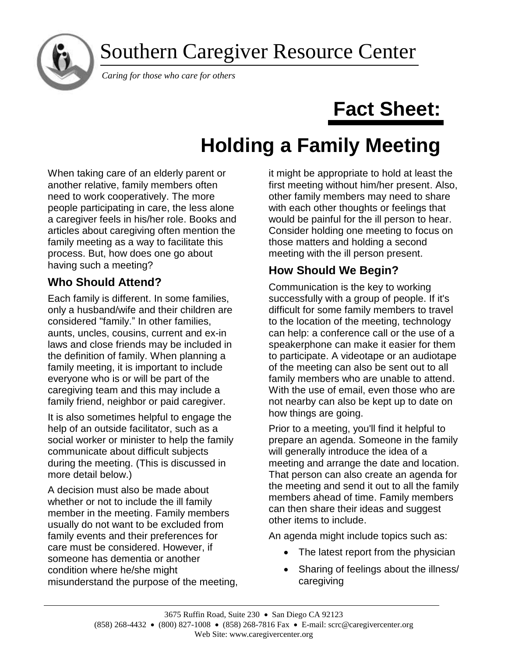Southern Caregiver Resource Center



*Caring for those who care for others*

# **Fact Sheet:**

# **Holding a Family Meeting**

When taking care of an elderly parent or another relative, family members often need to work cooperatively. The more people participating in care, the less alone a caregiver feels in his/her role. Books and articles about caregiving often mention the family meeting as a way to facilitate this process. But, how does one go about having such a meeting?

# **Who Should Attend?**

Each family is different. In some families, only a husband/wife and their children are considered "family." In other families, aunts, uncles, cousins, current and ex-in laws and close friends may be included in the definition of family. When planning a family meeting, it is important to include everyone who is or will be part of the caregiving team and this may include a family friend, neighbor or paid caregiver.

It is also sometimes helpful to engage the help of an outside facilitator, such as a social worker or minister to help the family communicate about difficult subjects during the meeting. (This is discussed in more detail below.)

A decision must also be made about whether or not to include the ill family member in the meeting. Family members usually do not want to be excluded from family events and their preferences for care must be considered. However, if someone has dementia or another condition where he/she might misunderstand the purpose of the meeting, it might be appropriate to hold at least the first meeting without him/her present. Also, other family members may need to share with each other thoughts or feelings that would be painful for the ill person to hear. Consider holding one meeting to focus on those matters and holding a second meeting with the ill person present.

# **How Should We Begin?**

Communication is the key to working successfully with a group of people. If it's difficult for some family members to travel to the location of the meeting, technology can help: a conference call or the use of a speakerphone can make it easier for them to participate. A videotape or an audiotape of the meeting can also be sent out to all family members who are unable to attend. With the use of email, even those who are not nearby can also be kept up to date on how things are going.

Prior to a meeting, you'll find it helpful to prepare an agenda. Someone in the family will generally introduce the idea of a meeting and arrange the date and location. That person can also create an agenda for the meeting and send it out to all the family members ahead of time. Family members can then share their ideas and suggest other items to include.

An agenda might include topics such as:

- The latest report from the physician
- Sharing of feelings about the illness/ caregiving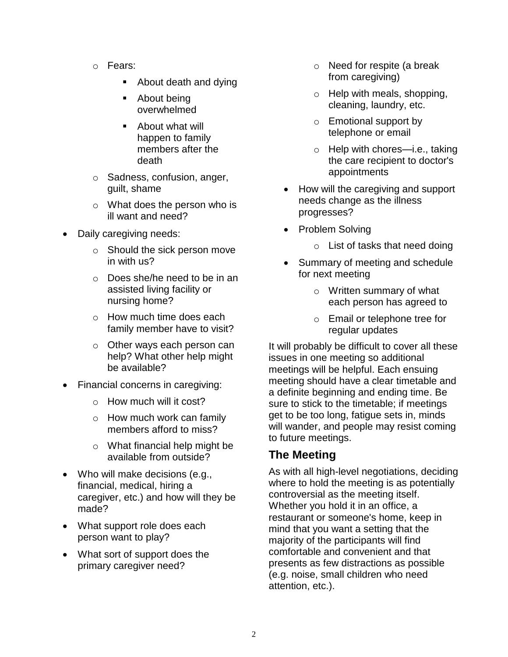- o Fears:
	- About death and dying
	- About being overwhelmed
	- About what will happen to family members after the death
- o Sadness, confusion, anger, guilt, shame
- o What does the person who is ill want and need?
- Daily caregiving needs:
	- o Should the sick person move in with us?
	- o Does she/he need to be in an assisted living facility or nursing home?
	- $\circ$  How much time does each family member have to visit?
	- o Other ways each person can help? What other help might be available?
- Financial concerns in caregiving:
	- o How much will it cost?
	- o How much work can family members afford to miss?
	- o What financial help might be available from outside?
- Who will make decisions (e.g., financial, medical, hiring a caregiver, etc.) and how will they be made?
- What support role does each person want to play?
- What sort of support does the primary caregiver need?
- o Need for respite (a break from caregiving)
- o Help with meals, shopping, cleaning, laundry, etc.
- o Emotional support by telephone or email
- o Help with chores—i.e., taking the care recipient to doctor's appointments
- How will the caregiving and support needs change as the illness progresses?
- Problem Solving
	- o List of tasks that need doing
- Summary of meeting and schedule for next meeting
	- o Written summary of what each person has agreed to
	- o Email or telephone tree for regular updates

It will probably be difficult to cover all these issues in one meeting so additional meetings will be helpful. Each ensuing meeting should have a clear timetable and a definite beginning and ending time. Be sure to stick to the timetable; if meetings get to be too long, fatigue sets in, minds will wander, and people may resist coming to future meetings.

## **The Meeting**

As with all high-level negotiations, deciding where to hold the meeting is as potentially controversial as the meeting itself. Whether you hold it in an office, a restaurant or someone's home, keep in mind that you want a setting that the majority of the participants will find comfortable and convenient and that presents as few distractions as possible (e.g. noise, small children who need attention, etc.).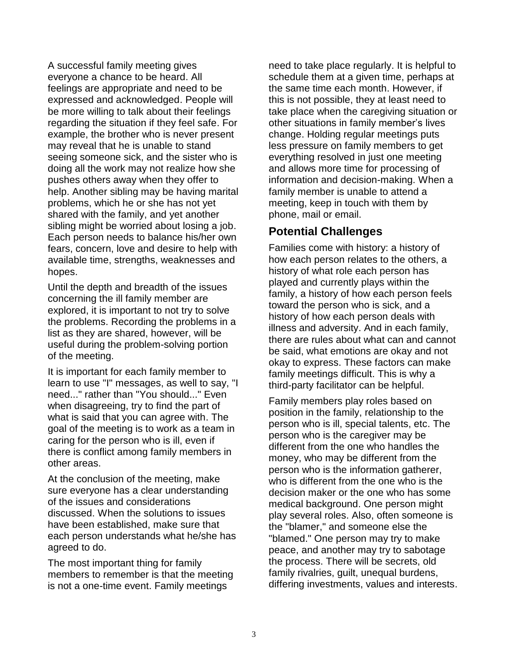A successful family meeting gives everyone a chance to be heard. All feelings are appropriate and need to be expressed and acknowledged. People will be more willing to talk about their feelings regarding the situation if they feel safe. For example, the brother who is never present may reveal that he is unable to stand seeing someone sick, and the sister who is doing all the work may not realize how she pushes others away when they offer to help. Another sibling may be having marital problems, which he or she has not yet shared with the family, and yet another sibling might be worried about losing a job. Each person needs to balance his/her own fears, concern, love and desire to help with available time, strengths, weaknesses and hopes.

Until the depth and breadth of the issues concerning the ill family member are explored, it is important to not try to solve the problems. Recording the problems in a list as they are shared, however, will be useful during the problem-solving portion of the meeting.

It is important for each family member to learn to use "I" messages, as well to say, "I need..." rather than "You should..." Even when disagreeing, try to find the part of what is said that you can agree with. The goal of the meeting is to work as a team in caring for the person who is ill, even if there is conflict among family members in other areas.

At the conclusion of the meeting, make sure everyone has a clear understanding of the issues and considerations discussed. When the solutions to issues have been established, make sure that each person understands what he/she has agreed to do.

The most important thing for family members to remember is that the meeting is not a one-time event. Family meetings

need to take place regularly. It is helpful to schedule them at a given time, perhaps at the same time each month. However, if this is not possible, they at least need to take place when the caregiving situation or other situations in family member's lives change. Holding regular meetings puts less pressure on family members to get everything resolved in just one meeting and allows more time for processing of information and decision-making. When a family member is unable to attend a meeting, keep in touch with them by phone, mail or email.

### **Potential Challenges**

Families come with history: a history of how each person relates to the others, a history of what role each person has played and currently plays within the family, a history of how each person feels toward the person who is sick, and a history of how each person deals with illness and adversity. And in each family, there are rules about what can and cannot be said, what emotions are okay and not okay to express. These factors can make family meetings difficult. This is why a third-party facilitator can be helpful.

Family members play roles based on position in the family, relationship to the person who is ill, special talents, etc. The person who is the caregiver may be different from the one who handles the money, who may be different from the person who is the information gatherer, who is different from the one who is the decision maker or the one who has some medical background. One person might play several roles. Also, often someone is the "blamer," and someone else the "blamed." One person may try to make peace, and another may try to sabotage the process. There will be secrets, old family rivalries, guilt, unequal burdens, differing investments, values and interests.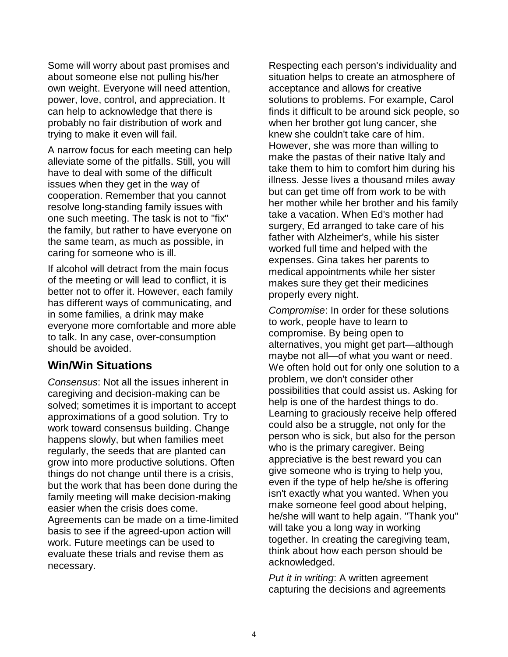Some will worry about past promises and about someone else not pulling his/her own weight. Everyone will need attention, power, love, control, and appreciation. It can help to acknowledge that there is probably no fair distribution of work and trying to make it even will fail.

A narrow focus for each meeting can help alleviate some of the pitfalls. Still, you will have to deal with some of the difficult issues when they get in the way of cooperation. Remember that you cannot resolve long-standing family issues with one such meeting. The task is not to "fix" the family, but rather to have everyone on the same team, as much as possible, in caring for someone who is ill.

If alcohol will detract from the main focus of the meeting or will lead to conflict, it is better not to offer it. However, each family has different ways of communicating, and in some families, a drink may make everyone more comfortable and more able to talk. In any case, over-consumption should be avoided.

#### **Win/Win Situations**

*Consensus*: Not all the issues inherent in caregiving and decision-making can be solved; sometimes it is important to accept approximations of a good solution. Try to work toward consensus building. Change happens slowly, but when families meet regularly, the seeds that are planted can grow into more productive solutions. Often things do not change until there is a crisis, but the work that has been done during the family meeting will make decision-making easier when the crisis does come. Agreements can be made on a time-limited basis to see if the agreed-upon action will work. Future meetings can be used to evaluate these trials and revise them as necessary.

Respecting each person's individuality and situation helps to create an atmosphere of acceptance and allows for creative solutions to problems. For example, Carol finds it difficult to be around sick people, so when her brother got lung cancer, she knew she couldn't take care of him. However, she was more than willing to make the pastas of their native Italy and take them to him to comfort him during his illness. Jesse lives a thousand miles away but can get time off from work to be with her mother while her brother and his family take a vacation. When Ed's mother had surgery, Ed arranged to take care of his father with Alzheimer's, while his sister worked full time and helped with the expenses. Gina takes her parents to medical appointments while her sister makes sure they get their medicines properly every night.

*Compromise*: In order for these solutions to work, people have to learn to compromise. By being open to alternatives, you might get part—although maybe not all—of what you want or need. We often hold out for only one solution to a problem, we don't consider other possibilities that could assist us. Asking for help is one of the hardest things to do. Learning to graciously receive help offered could also be a struggle, not only for the person who is sick, but also for the person who is the primary caregiver. Being appreciative is the best reward you can give someone who is trying to help you, even if the type of help he/she is offering isn't exactly what you wanted. When you make someone feel good about helping, he/she will want to help again. "Thank you" will take you a long way in working together. In creating the caregiving team, think about how each person should be acknowledged.

*Put it in writing*: A written agreement capturing the decisions and agreements